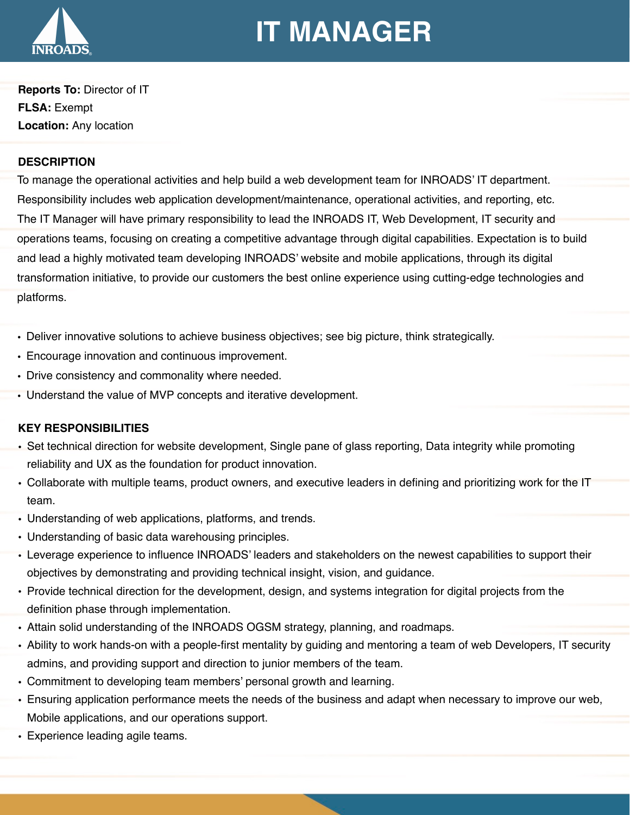

# **IT MANAGER**

**Reports To:** Director of IT **FLSA:** Exempt **Location:** Any location

## **DESCRIPTION**

To manage the operational activities and help build a web development team for INROADS' IT department. Responsibility includes web application development/maintenance, operational activities, and reporting, etc. The IT Manager will have primary responsibility to lead the INROADS IT, Web Development, IT security and operations teams, focusing on creating a competitive advantage through digital capabilities. Expectation is to build and lead a highly motivated team developing INROADS' website and mobile applications, through its digital transformation initiative, to provide our customers the best online experience using cutting-edge technologies and platforms.

- Deliver innovative solutions to achieve business objectives; see big picture, think strategically.
- Encourage innovation and continuous improvement.
- Drive consistency and commonality where needed.
- Understand the value of MVP concepts and iterative development.

# **KEY RESPONSIBILITIES**

- Set technical direction for website development, Single pane of glass reporting, Data integrity while promoting reliability and UX as the foundation for product innovation.
- Collaborate with multiple teams, product owners, and executive leaders in defining and prioritizing work for the IT team.
- Understanding of web applications, platforms, and trends.
- Understanding of basic data warehousing principles.
- Leverage experience to influence INROADS' leaders and stakeholders on the newest capabilities to support their objectives by demonstrating and providing technical insight, vision, and guidance.
- Provide technical direction for the development, design, and systems integration for digital projects from the definition phase through implementation.
- Attain solid understanding of the INROADS OGSM strategy, planning, and roadmaps.
- Ability to work hands-on with a people-first mentality by guiding and mentoring a team of web Developers, IT security admins, and providing support and direction to junior members of the team.
- Commitment to developing team members' personal growth and learning.
- Ensuring application performance meets the needs of the business and adapt when necessary to improve our web, Mobile applications, and our operations support.
- Experience leading agile teams.